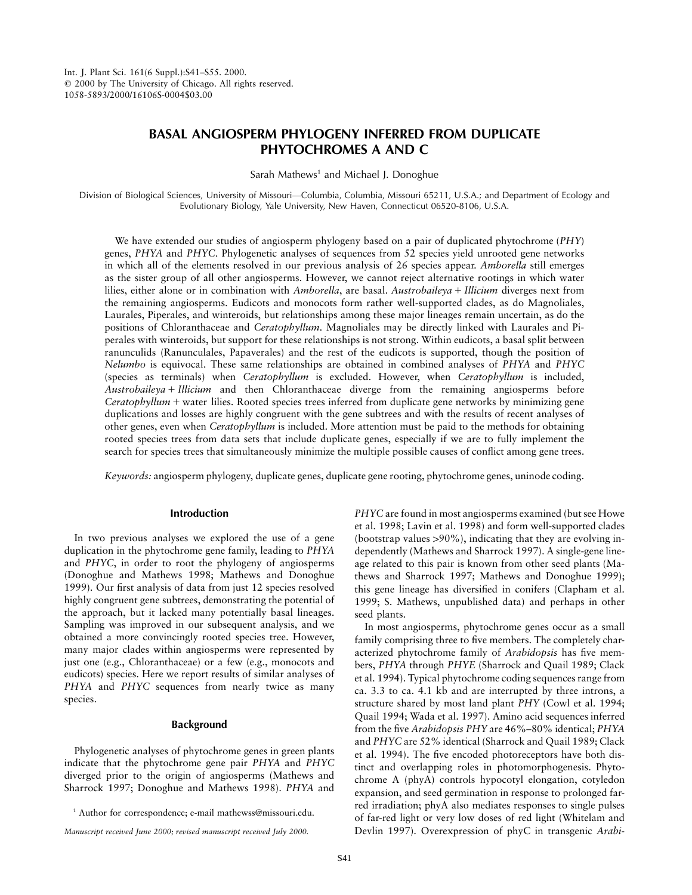# **BASAL ANGIOSPERM PHYLOGENY INFERRED FROM DUPLICATE PHYTOCHROMES A AND C**

Sarah Mathews<sup>1</sup> and Michael J. Donoghue

Division of Biological Sciences, University of Missouri—Columbia, Columbia, Missouri 65211, U.S.A.; and Department of Ecology and Evolutionary Biology, Yale University, New Haven, Connecticut 06520-8106, U.S.A.

We have extended our studies of angiosperm phylogeny based on a pair of duplicated phytochrome (*PHY*) genes, *PHYA* and *PHYC*. Phylogenetic analyses of sequences from 52 species yield unrooted gene networks in which all of the elements resolved in our previous analysis of 26 species appear. *Amborella* still emerges as the sister group of all other angiosperms. However, we cannot reject alternative rootings in which water lilies, either alone or in combination with *Amborella*, are basal. Austrobaileya + Illicium diverges next from the remaining angiosperms. Eudicots and monocots form rather well-supported clades, as do Magnoliales, Laurales, Piperales, and winteroids, but relationships among these major lineages remain uncertain, as do the positions of Chloranthaceae and *Ceratophyllum*. Magnoliales may be directly linked with Laurales and Piperales with winteroids, but support for these relationships is not strong. Within eudicots, a basal split between ranunculids (Ranunculales, Papaverales) and the rest of the eudicots is supported, though the position of *Nelumbo* is equivocal. These same relationships are obtained in combined analyses of *PHYA* and *PHYC* (species as terminals) when *Ceratophyllum* is excluded. However, when *Ceratophyllum* is included, *Austrobaileya* 1 *Illicium* and then Chloranthaceae diverge from the remaining angiosperms before *Ceratophyllum* + water lilies. Rooted species trees inferred from duplicate gene networks by minimizing gene duplications and losses are highly congruent with the gene subtrees and with the results of recent analyses of other genes, even when *Ceratophyllum* is included. More attention must be paid to the methods for obtaining rooted species trees from data sets that include duplicate genes, especially if we are to fully implement the search for species trees that simultaneously minimize the multiple possible causes of conflict among gene trees.

*Keywords:* angiosperm phylogeny, duplicate genes, duplicate gene rooting, phytochrome genes, uninode coding.

## **Introduction**

In two previous analyses we explored the use of a gene duplication in the phytochrome gene family, leading to *PHYA* and *PHYC*, in order to root the phylogeny of angiosperms (Donoghue and Mathews 1998; Mathews and Donoghue 1999). Our first analysis of data from just 12 species resolved highly congruent gene subtrees, demonstrating the potential of the approach, but it lacked many potentially basal lineages. Sampling was improved in our subsequent analysis, and we obtained a more convincingly rooted species tree. However, many major clades within angiosperms were represented by just one (e.g., Chloranthaceae) or a few (e.g., monocots and eudicots) species. Here we report results of similar analyses of *PHYA* and *PHYC* sequences from nearly twice as many species.

### **Background**

Phylogenetic analyses of phytochrome genes in green plants indicate that the phytochrome gene pair *PHYA* and *PHYC* diverged prior to the origin of angiosperms (Mathews and Sharrock 1997; Donoghue and Mathews 1998). *PHYA* and

*PHYC* are found in most angiosperms examined (but see Howe et al. 1998; Lavin et al. 1998) and form well-supported clades (bootstrap values  $>90\%$ ), indicating that they are evolving independently (Mathews and Sharrock 1997). A single-gene lineage related to this pair is known from other seed plants (Mathews and Sharrock 1997; Mathews and Donoghue 1999); this gene lineage has diversified in conifers (Clapham et al. 1999; S. Mathews, unpublished data) and perhaps in other seed plants.

In most angiosperms, phytochrome genes occur as a small family comprising three to five members. The completely characterized phytochrome family of *Arabidopsis* has five members, *PHYA* through *PHYE* (Sharrock and Quail 1989; Clack et al. 1994). Typical phytochrome coding sequences range from ca. 3.3 to ca. 4.1 kb and are interrupted by three introns, a structure shared by most land plant *PHY* (Cowl et al. 1994; Quail 1994; Wada et al. 1997). Amino acid sequences inferred from the five *Arabidopsis PHY* are 46%–80% identical; *PHYA* and *PHYC* are 52% identical (Sharrock and Quail 1989; Clack et al. 1994). The five encoded photoreceptors have both distinct and overlapping roles in photomorphogenesis. Phytochrome A (phyA) controls hypocotyl elongation, cotyledon expansion, and seed germination in response to prolonged farred irradiation; phyA also mediates responses to single pulses of far-red light or very low doses of red light (Whitelam and Devlin 1997). Overexpression of phyC in transgenic *Arabi-*

<sup>1</sup> Author for correspondence; e-mail mathewss@missouri.edu.

*Manuscript received June 2000; revised manuscript received July 2000.*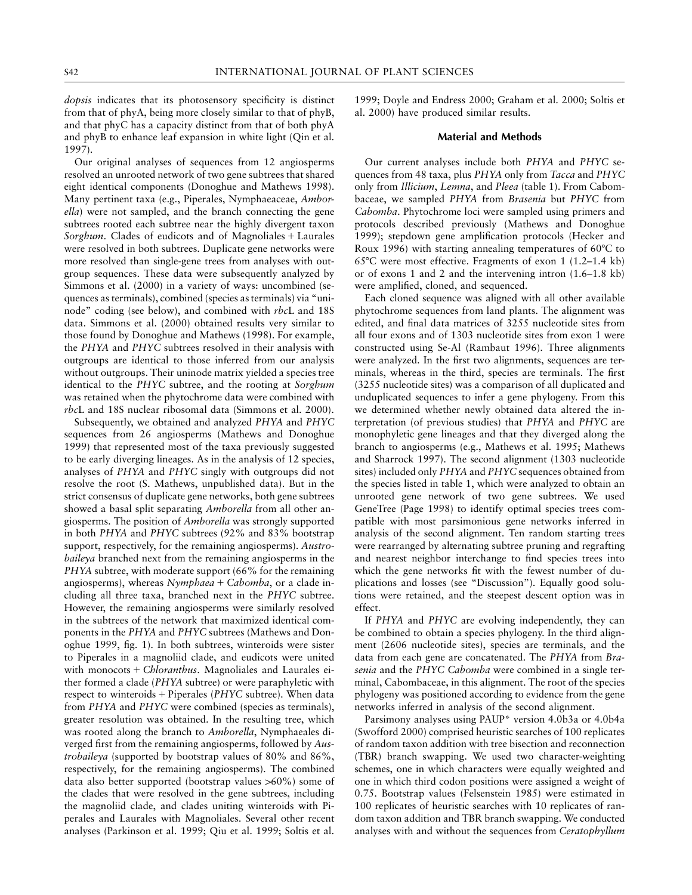*dopsis* indicates that its photosensory specificity is distinct from that of phyA, being more closely similar to that of phyB, and that phyC has a capacity distinct from that of both phyA and phyB to enhance leaf expansion in white light (Qin et al. 1997).

Our original analyses of sequences from 12 angiosperms resolved an unrooted network of two gene subtrees that shared eight identical components (Donoghue and Mathews 1998). Many pertinent taxa (e.g., Piperales, Nymphaeaceae, *Amborella*) were not sampled, and the branch connecting the gene subtrees rooted each subtree near the highly divergent taxon *Sorghum*. Clades of eudicots and of Magnoliales + Laurales were resolved in both subtrees. Duplicate gene networks were more resolved than single-gene trees from analyses with outgroup sequences. These data were subsequently analyzed by Simmons et al. (2000) in a variety of ways: uncombined (sequences as terminals), combined (species as terminals) via "uninode" coding (see below), and combined with *rbc*L and 18S data. Simmons et al. (2000) obtained results very similar to those found by Donoghue and Mathews (1998). For example, the *PHYA* and *PHYC* subtrees resolved in their analysis with outgroups are identical to those inferred from our analysis without outgroups. Their uninode matrix yielded a species tree identical to the *PHYC* subtree, and the rooting at *Sorghum* was retained when the phytochrome data were combined with *rbc*L and 18S nuclear ribosomal data (Simmons et al. 2000).

Subsequently, we obtained and analyzed *PHYA* and *PHYC* sequences from 26 angiosperms (Mathews and Donoghue 1999) that represented most of the taxa previously suggested to be early diverging lineages. As in the analysis of 12 species, analyses of *PHYA* and *PHYC* singly with outgroups did not resolve the root (S. Mathews, unpublished data). But in the strict consensus of duplicate gene networks, both gene subtrees showed a basal split separating *Amborella* from all other angiosperms. The position of *Amborella* was strongly supported in both *PHYA* and *PHYC* subtrees (92% and 83% bootstrap support, respectively, for the remaining angiosperms). *Austrobaileya* branched next from the remaining angiosperms in the *PHYA* subtree, with moderate support (66% for the remaining angiosperms), whereas Nymphaea + Cabomba, or a clade including all three taxa, branched next in the *PHYC* subtree. However, the remaining angiosperms were similarly resolved in the subtrees of the network that maximized identical components in the *PHYA* and *PHYC* subtrees (Mathews and Donoghue 1999, fig. 1). In both subtrees, winteroids were sister to Piperales in a magnoliid clade, and eudicots were united with monocots + *Chloranthus*. Magnoliales and Laurales either formed a clade (*PHYA* subtree) or were paraphyletic with respect to winteroids + Piperales (PHYC subtree). When data from *PHYA* and *PHYC* were combined (species as terminals), greater resolution was obtained. In the resulting tree, which was rooted along the branch to *Amborella*, Nymphaeales diverged first from the remaining angiosperms, followed by *Austrobaileya* (supported by bootstrap values of 80% and 86%, respectively, for the remaining angiosperms). The combined data also better supported (bootstrap values  $>60\%$ ) some of the clades that were resolved in the gene subtrees, including the magnoliid clade, and clades uniting winteroids with Piperales and Laurales with Magnoliales. Several other recent analyses (Parkinson et al. 1999; Qiu et al. 1999; Soltis et al. 1999; Doyle and Endress 2000; Graham et al. 2000; Soltis et al. 2000) have produced similar results.

## **Material and Methods**

Our current analyses include both *PHYA* and *PHYC* sequences from 48 taxa, plus *PHYA* only from *Tacca* and *PHYC* only from *Illicium*, *Lemna*, and *Pleea* (table 1). From Cabombaceae, we sampled *PHYA* from *Brasenia* but *PHYC* from *Cabomba*. Phytochrome loci were sampled using primers and protocols described previously (Mathews and Donoghue 1999); stepdown gene amplification protocols (Hecker and Roux 1996) with starting annealing temperatures of  $60^{\circ}$ C to 65 $\degree$ C were most effective. Fragments of exon 1 (1.2–1.4 kb) or of exons 1 and 2 and the intervening intron (1.6–1.8 kb) were amplified, cloned, and sequenced.

Each cloned sequence was aligned with all other available phytochrome sequences from land plants. The alignment was edited, and final data matrices of 3255 nucleotide sites from all four exons and of 1303 nucleotide sites from exon 1 were constructed using Se-Al (Rambaut 1996). Three alignments were analyzed. In the first two alignments, sequences are terminals, whereas in the third, species are terminals. The first (3255 nucleotide sites) was a comparison of all duplicated and unduplicated sequences to infer a gene phylogeny. From this we determined whether newly obtained data altered the interpretation (of previous studies) that *PHYA* and *PHYC* are monophyletic gene lineages and that they diverged along the branch to angiosperms (e.g., Mathews et al. 1995; Mathews and Sharrock 1997). The second alignment (1303 nucleotide sites) included only *PHYA* and *PHYC* sequences obtained from the species listed in table 1, which were analyzed to obtain an unrooted gene network of two gene subtrees. We used GeneTree (Page 1998) to identify optimal species trees compatible with most parsimonious gene networks inferred in analysis of the second alignment. Ten random starting trees were rearranged by alternating subtree pruning and regrafting and nearest neighbor interchange to find species trees into which the gene networks fit with the fewest number of duplications and losses (see "Discussion"). Equally good solutions were retained, and the steepest descent option was in effect.

If *PHYA* and *PHYC* are evolving independently, they can be combined to obtain a species phylogeny. In the third alignment (2606 nucleotide sites), species are terminals, and the data from each gene are concatenated. The *PHYA* from *Brasenia* and the *PHYC Cabomba* were combined in a single terminal, Cabombaceae, in this alignment. The root of the species phylogeny was positioned according to evidence from the gene networks inferred in analysis of the second alignment.

Parsimony analyses using PAUP\* version 4.0b3a or 4.0b4a (Swofford 2000) comprised heuristic searches of 100 replicates of random taxon addition with tree bisection and reconnection (TBR) branch swapping. We used two character-weighting schemes, one in which characters were equally weighted and one in which third codon positions were assigned a weight of 0.75. Bootstrap values (Felsenstein 1985) were estimated in 100 replicates of heuristic searches with 10 replicates of random taxon addition and TBR branch swapping. We conducted analyses with and without the sequences from *Ceratophyllum*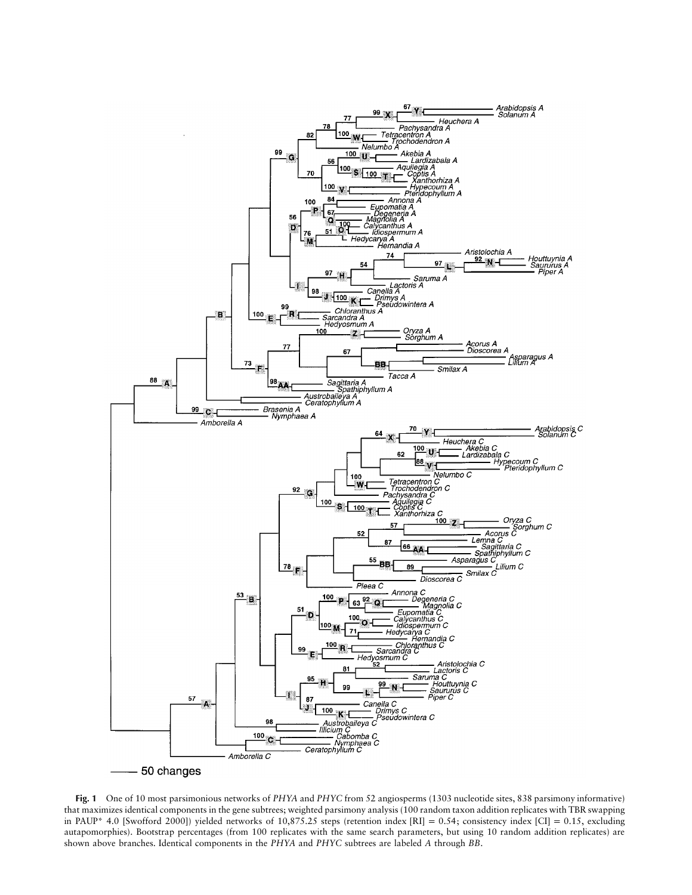

**Fig. 1** One of 10 most parsimonious networks of *PHYA* and *PHYC* from 52 angiosperms (1303 nucleotide sites, 838 parsimony informative) that maximizes identical components in the gene subtrees; weighted parsimony analysis (100 random taxon addition replicates with TBR swapping in PAUP\* 4.0 [Swofford 2000]) yielded networks of 10,875.25 steps (retention index  $|RI| = 0.54$ ; consistency index  $|CI| = 0.15$ , excluding autapomorphies). Bootstrap percentages (from 100 replicates with the same search parameters, but using 10 random addition replicates) are shown above branches. Identical components in the *PHYA* and *PHYC* subtrees are labeled *A* through *BB*.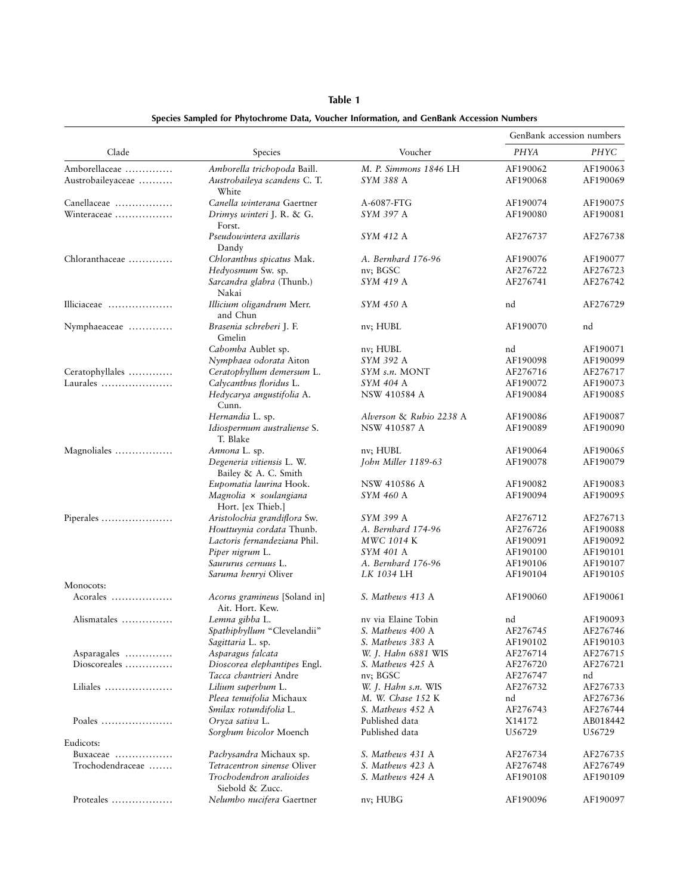| Clade             | Species                                           | Voucher                 | GenBank accession numbers |          |
|-------------------|---------------------------------------------------|-------------------------|---------------------------|----------|
|                   |                                                   |                         | <b>PHYA</b>               | PHYC     |
| Amborellaceae     | Amborella trichopoda Baill.                       | M. P. Simmons 1846 LH   | AF190062                  | AF190063 |
| Austrobaileyaceae | Austrobaileya scandens C. T.<br>White             | SYM 388 A               | AF190068                  | AF190069 |
| Canellaceae       | Canella winterana Gaertner                        | A-6087-FTG              | AF190074                  | AF190075 |
| Winteraceae       | Drimys winteri J. R. & G.<br>Forst.               | SYM 397 A               | AF190080                  | AF190081 |
|                   | Pseudowintera axillaris<br>Dandy                  | SYM 412 A               | AF276737                  | AF276738 |
| Chloranthaceae    | Chloranthus spicatus Mak.                         | A. Bernhard 176-96      | AF190076                  | AF190077 |
|                   | Hedyosmum Sw. sp.                                 | nv; BGSC                | AF276722                  | AF276723 |
|                   | Sarcandra glabra (Thunb.)<br>Nakai                | SYM 419 A               | AF276741                  | AF276742 |
| Illiciaceae       | Illicium oligandrum Merr.<br>and Chun             | SYM 450 A               | nd                        | AF276729 |
| Nymphaeaceae      | Brasenia schreberi J. F.<br>Gmelin                | nv; HUBL                | AF190070                  | nd       |
|                   | Cabomba Aublet sp.                                | nv; HUBL                | nd                        | AF190071 |
|                   | Nymphaea odorata Aiton                            | SYM 392 A               | AF190098                  | AF190099 |
| Ceratophyllales   | Ceratophyllum demersum L.                         | SYM s.n. MONT           | AF276716                  | AF276717 |
| Laurales          | Calycanthus floridus L.                           | SYM 404 A               | AF190072                  | AF190073 |
|                   | Hedycarya angustifolia A.<br>Cunn.                | <b>NSW 410584 A</b>     | AF190084                  | AF190085 |
|                   | Hernandia L. sp.                                  | Alverson & Rubio 2238 A | AF190086                  | AF190087 |
|                   | Idiospermum australiense S.<br>T. Blake           | NSW 410587 A            | AF190089                  | AF190090 |
| Magnoliales       | Annona L. sp.                                     | nv; HUBL                | AF190064                  | AF190065 |
|                   | Degeneria vitiensis L. W.<br>Bailey & A. C. Smith | John Miller 1189-63     | AF190078                  | AF190079 |
|                   | Eupomatia laurina Hook.                           | <b>NSW 410586 A</b>     | AF190082                  | AF190083 |
|                   | Magnolia x soulangiana<br>Hort. [ex Thieb.]       | SYM 460 A               | AF190094                  | AF190095 |
| Piperales         | Aristolochia grandiflora Sw.                      | SYM 399 A               | AF276712                  | AF276713 |
|                   | Houttuynia cordata Thunb.                         | A. Bernhard 174-96      | AF276726                  | AF190088 |
|                   | Lactoris fernandeziana Phil.                      | MWC 1014 K              | AF190091                  | AF190092 |
|                   | Piper nigrum L.                                   | SYM 401 A               | AF190100                  | AF190101 |
|                   | Saururus cernuus L.                               | A. Bernhard 176-96      | AF190106                  | AF190107 |
|                   | Saruma henryi Oliver                              | LK 1034 LH              | AF190104                  | AF190105 |
| Monocots:         |                                                   |                         |                           |          |
| Acorales          | Acorus gramineus [Soland in]<br>Ait. Hort. Kew.   | S. Mathews 413 A        | AF190060                  | AF190061 |
| Alismatales       | Lemna gibba L.                                    | nv via Elaine Tobin     | nd                        | AF190093 |
|                   | Spathiphyllum "Clevelandii"                       | S. Mathews 400 A        | AF276745                  | AF276746 |
|                   | Sagittaria L. sp.                                 | S. Mathews 383 A        | AF190102                  | AF190103 |
| Asparagales       | Asparagus falcata                                 | W. J. Hahn 6881 WIS     | AF276714                  | AF276715 |
| Dioscoreales      | Dioscorea elephantipes Engl.                      | S. Mathews 425 A        | AF276720                  | AF276721 |
|                   | Tacca chantrieri Andre                            | nv; BGSC                | AF276747                  | nd       |
| Liliales          | Lilium superbum L.                                | W. J. Hahn s.n. WIS     | AF276732                  | AF276733 |
|                   | Pleea tenuifolia Michaux                          | M. W. Chase 152 K       | nd                        | AF276736 |
|                   | Smilax rotundifolia L.                            | S. Mathews 452 A        | AF276743                  | AF276744 |
| Poales            | Oryza sativa L.                                   | Published data          | X14172                    | AB018442 |
|                   | Sorghum bicolor Moench                            | Published data          | U56729                    | U56729   |
| Eudicots:         |                                                   |                         |                           |          |
| $Buxaceae$        | Pachysandra Michaux sp.                           | S. Mathews 431 A        | AF276734                  | AF276735 |
| Trochodendraceae  | Tetracentron sinense Oliver                       | S. Mathews 423 A        | AF276748                  | AF276749 |
|                   | Trochodendron aralioides<br>Siebold & Zucc.       | S. Mathews 424 A        | AF190108                  | AF190109 |
| Proteales         | Nelumbo nucifera Gaertner                         | nv; HUBG                | AF190096                  | AF190097 |

**Table 1 Species Sampled for Phytochrome Data, Voucher Information, and GenBank Accession Numbers**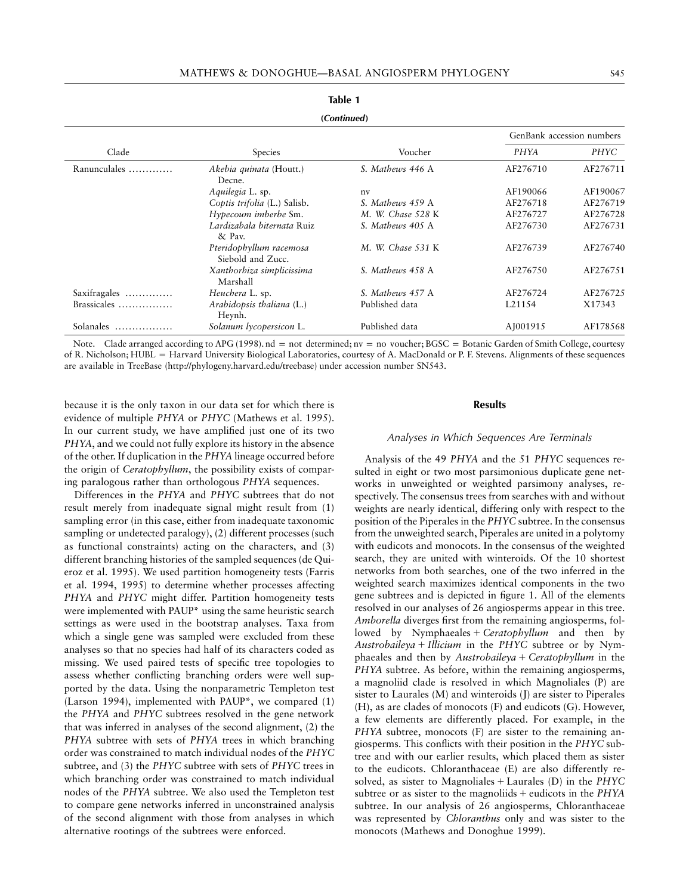| Clade        | Species                                      | Voucher           | GenBank accession numbers |           |
|--------------|----------------------------------------------|-------------------|---------------------------|-----------|
|              |                                              |                   | <b>PHYA</b>               | PHYC      |
| Ranunculales | Akebia quinata (Houtt.)<br>Decne.            | S. Mathews 446 A  | AF276710                  | AF276711  |
|              | Aquilegia L. sp.                             | $n_{V}$           | AF190066                  | AF190067  |
|              | Coptis trifolia (L.) Salisb.                 | S. Mathews 459 A  | AF276718                  | AF276719  |
|              | Hypecoum imberbe Sm.                         | M. W. Chase 528 K | AF276727                  | AF276728  |
|              | Lardizabala biternata Ruiz<br>& Pav.         | S. Mathews 405 A  | AF276730                  | AF276731  |
|              | Pteridophyllum racemosa<br>Siebold and Zucc. | M. W. Chase 531 K | AF276739                  | AF276740  |
|              | Xanthorhiza simplicissima<br>Marshall        | S. Mathews 458 A  | AF276750                  | AF276751  |
| Saxifragales | Heuchera L. sp.                              | S. Mathews 457 A  | AF276724                  | AF27672.5 |
| Brassicales  | Arabidopsis thaliana (L.)<br>Heynh.          | Published data    | L <sub>21154</sub>        | X17343    |
| Solanales    | Solanum lycopersicon L.                      | Published data    | A <sub>1001915</sub>      | AF178568  |

**Table 1**

**(***Continued***)**

Note. Clade arranged according to APG (1998).  $nd = not$  determined;  $nv = no$  voucher; BGSC = Botanic Garden of Smith College, courtesy of R. Nicholson; HUBL = Harvard University Biological Laboratories, courtesy of A. MacDonald or P. F. Stevens. Alignments of these sequences are available in TreeBase (http://phylogeny.harvard.edu/treebase) under accession number SN543.

because it is the only taxon in our data set for which there is evidence of multiple *PHYA* or *PHYC* (Mathews et al. 1995). In our current study, we have amplified just one of its two *PHYA*, and we could not fully explore its history in the absence of the other. If duplication in the *PHYA* lineage occurred before the origin of *Ceratophyllum*, the possibility exists of comparing paralogous rather than orthologous *PHYA* sequences.

Differences in the *PHYA* and *PHYC* subtrees that do not result merely from inadequate signal might result from (1) sampling error (in this case, either from inadequate taxonomic sampling or undetected paralogy), (2) different processes (such as functional constraints) acting on the characters, and (3) different branching histories of the sampled sequences (de Quieroz et al. 1995). We used partition homogeneity tests (Farris et al. 1994, 1995) to determine whether processes affecting *PHYA* and *PHYC* might differ. Partition homogeneity tests were implemented with PAUP\* using the same heuristic search settings as were used in the bootstrap analyses. Taxa from which a single gene was sampled were excluded from these analyses so that no species had half of its characters coded as missing. We used paired tests of specific tree topologies to assess whether conflicting branching orders were well supported by the data. Using the nonparametric Templeton test (Larson 1994), implemented with PAUP\*, we compared (1) the *PHYA* and *PHYC* subtrees resolved in the gene network that was inferred in analyses of the second alignment, (2) the *PHYA* subtree with sets of *PHYA* trees in which branching order was constrained to match individual nodes of the *PHYC* subtree, and (3) the *PHYC* subtree with sets of *PHYC* trees in which branching order was constrained to match individual nodes of the *PHYA* subtree. We also used the Templeton test to compare gene networks inferred in unconstrained analysis of the second alignment with those from analyses in which alternative rootings of the subtrees were enforced.

#### **Results**

#### *Analyses in Which Sequences Are Terminals*

Analysis of the 49 *PHYA* and the 51 *PHYC* sequences resulted in eight or two most parsimonious duplicate gene networks in unweighted or weighted parsimony analyses, respectively. The consensus trees from searches with and without weights are nearly identical, differing only with respect to the position of the Piperales in the *PHYC* subtree. In the consensus from the unweighted search, Piperales are united in a polytomy with eudicots and monocots. In the consensus of the weighted search, they are united with winteroids. Of the 10 shortest networks from both searches, one of the two inferred in the weighted search maximizes identical components in the two gene subtrees and is depicted in figure 1. All of the elements resolved in our analyses of 26 angiosperms appear in this tree. *Amborella* diverges first from the remaining angiosperms, followed by Nymphaeales + *Ceratophyllum* and then by *Austrobaileya* 1 *Illicium* in the *PHYC* subtree or by Nymphaeales and then by *Austrobaileya* + *Ceratophyllum* in the *PHYA* subtree. As before, within the remaining angiosperms, a magnoliid clade is resolved in which Magnoliales (P) are sister to Laurales (M) and winteroids (J) are sister to Piperales (H), as are clades of monocots (F) and eudicots (G). However, a few elements are differently placed. For example, in the *PHYA* subtree, monocots (F) are sister to the remaining angiosperms. This conflicts with their position in the *PHYC* subtree and with our earlier results, which placed them as sister to the eudicots. Chloranthaceae (E) are also differently resolved, as sister to Magnoliales + Laurales (D) in the PHYC subtree or as sister to the magnoliids + eudicots in the *PHYA* subtree. In our analysis of 26 angiosperms, Chloranthaceae was represented by *Chloranthus* only and was sister to the monocots (Mathews and Donoghue 1999).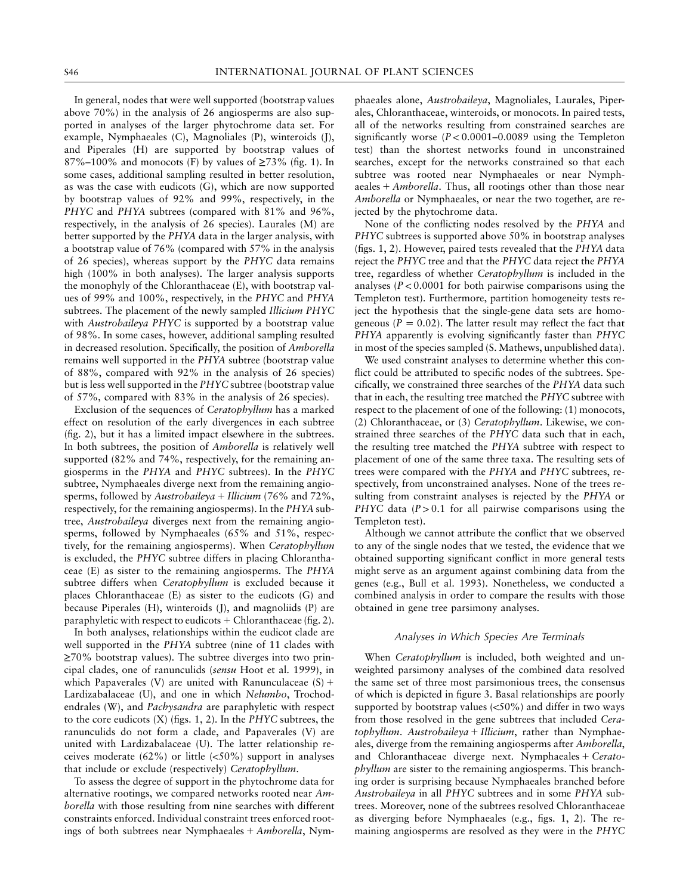In general, nodes that were well supported (bootstrap values above 70%) in the analysis of 26 angiosperms are also supported in analyses of the larger phytochrome data set. For example, Nymphaeales (C), Magnoliales (P), winteroids (J), and Piperales (H) are supported by bootstrap values of 87%–100% and monocots (F) by values of  $\geq$ 73% (fig. 1). In some cases, additional sampling resulted in better resolution, as was the case with eudicots (G), which are now supported by bootstrap values of 92% and 99%, respectively, in the *PHYC* and *PHYA* subtrees (compared with 81% and 96%, respectively, in the analysis of 26 species). Laurales (M) are better supported by the *PHYA* data in the larger analysis, with a bootstrap value of 76% (compared with 57% in the analysis of 26 species), whereas support by the *PHYC* data remains high (100% in both analyses). The larger analysis supports the monophyly of the Chloranthaceae (E), with bootstrap values of 99% and 100%, respectively, in the *PHYC* and *PHYA* subtrees. The placement of the newly sampled *Illicium PHYC* with *Austrobaileya PHYC* is supported by a bootstrap value of 98%. In some cases, however, additional sampling resulted in decreased resolution. Specifically, the position of *Amborella* remains well supported in the *PHYA* subtree (bootstrap value of 88%, compared with 92% in the analysis of 26 species) but is less well supported in the *PHYC* subtree (bootstrap value of 57%, compared with 83% in the analysis of 26 species).

Exclusion of the sequences of *Ceratophyllum* has a marked effect on resolution of the early divergences in each subtree (fig. 2), but it has a limited impact elsewhere in the subtrees. In both subtrees, the position of *Amborella* is relatively well supported (82% and 74%, respectively, for the remaining angiosperms in the *PHYA* and *PHYC* subtrees). In the *PHYC* subtree, Nymphaeales diverge next from the remaining angiosperms, followed by Austrobaileya + Illicium (76% and 72%, respectively, for the remaining angiosperms). In the *PHYA* subtree, *Austrobaileya* diverges next from the remaining angiosperms, followed by Nymphaeales (65% and 51%, respectively, for the remaining angiosperms). When *Ceratophyllum* is excluded, the *PHYC* subtree differs in placing Chloranthaceae (E) as sister to the remaining angiosperms. The *PHYA* subtree differs when *Ceratophyllum* is excluded because it places Chloranthaceae (E) as sister to the eudicots (G) and because Piperales (H), winteroids (J), and magnoliids (P) are paraphyletic with respect to eudicots  $+$  Chloranthaceae (fig. 2).

In both analyses, relationships within the eudicot clade are well supported in the *PHYA* subtree (nine of 11 clades with ≥70% bootstrap values). The subtree diverges into two principal clades, one of ranunculids (*sensu* Hoot et al. 1999), in which Papaverales (V) are united with Ranunculaceae  $(S)$  + Lardizabalaceae (U), and one in which *Nelumbo*, Trochodendrales (W), and *Pachysandra* are paraphyletic with respect to the core eudicots (X) (figs. 1, 2). In the *PHYC* subtrees, the ranunculids do not form a clade, and Papaverales (V) are united with Lardizabalaceae (U). The latter relationship receives moderate  $(62\%)$  or little  $(<50\%)$  support in analyses that include or exclude (respectively) *Ceratophyllum*.

To assess the degree of support in the phytochrome data for alternative rootings, we compared networks rooted near *Amborella* with those resulting from nine searches with different constraints enforced. Individual constraint trees enforced rootings of both subtrees near Nymphaeales + *Amborella*, Nym-

phaeales alone, *Austrobaileya*, Magnoliales, Laurales, Piperales, Chloranthaceae, winteroids, or monocots. In paired tests, all of the networks resulting from constrained searches are significantly worse  $(P < 0.0001 - 0.0089$  using the Templeton test) than the shortest networks found in unconstrained searches, except for the networks constrained so that each subtree was rooted near Nymphaeales or near Nymphaeales + *Amborella*. Thus, all rootings other than those near *Amborella* or Nymphaeales, or near the two together, are rejected by the phytochrome data.

None of the conflicting nodes resolved by the *PHYA* and *PHYC* subtrees is supported above 50% in bootstrap analyses (figs. 1, 2). However, paired tests revealed that the *PHYA* data reject the *PHYC* tree and that the *PHYC* data reject the *PHYA* tree, regardless of whether *Ceratophyllum* is included in the analyses ( $P < 0.0001$  for both pairwise comparisons using the Templeton test). Furthermore, partition homogeneity tests reject the hypothesis that the single-gene data sets are homogeneous ( $P = 0.02$ ). The latter result may reflect the fact that *PHYA* apparently is evolving significantly faster than *PHYC* in most of the species sampled (S. Mathews, unpublished data).

We used constraint analyses to determine whether this conflict could be attributed to specific nodes of the subtrees. Specifically, we constrained three searches of the *PHYA* data such that in each, the resulting tree matched the *PHYC* subtree with respect to the placement of one of the following: (1) monocots, (2) Chloranthaceae, or (3) *Ceratophyllum*. Likewise, we constrained three searches of the *PHYC* data such that in each, the resulting tree matched the *PHYA* subtree with respect to placement of one of the same three taxa. The resulting sets of trees were compared with the *PHYA* and *PHYC* subtrees, respectively, from unconstrained analyses. None of the trees resulting from constraint analyses is rejected by the *PHYA* or *PHYC* data ( $P > 0.1$  for all pairwise comparisons using the Templeton test).

Although we cannot attribute the conflict that we observed to any of the single nodes that we tested, the evidence that we obtained supporting significant conflict in more general tests might serve as an argument against combining data from the genes (e.g., Bull et al. 1993). Nonetheless, we conducted a combined analysis in order to compare the results with those obtained in gene tree parsimony analyses.

#### *Analyses in Which Species Are Terminals*

When *Ceratophyllum* is included, both weighted and unweighted parsimony analyses of the combined data resolved the same set of three most parsimonious trees, the consensus of which is depicted in figure 3. Basal relationships are poorly supported by bootstrap values  $\langle$ <50%) and differ in two ways from those resolved in the gene subtrees that included *Ceratophyllum. Austrobaileya* + *Illicium*, rather than Nymphaeales, diverge from the remaining angiosperms after *Amborella*, and Chloranthaceae diverge next. Nymphaeales + Cerato*phyllum* are sister to the remaining angiosperms. This branching order is surprising because Nymphaeales branched before *Austrobaileya* in all *PHYC* subtrees and in some *PHYA* subtrees. Moreover, none of the subtrees resolved Chloranthaceae as diverging before Nymphaeales (e.g., figs. 1, 2). The remaining angiosperms are resolved as they were in the *PHYC*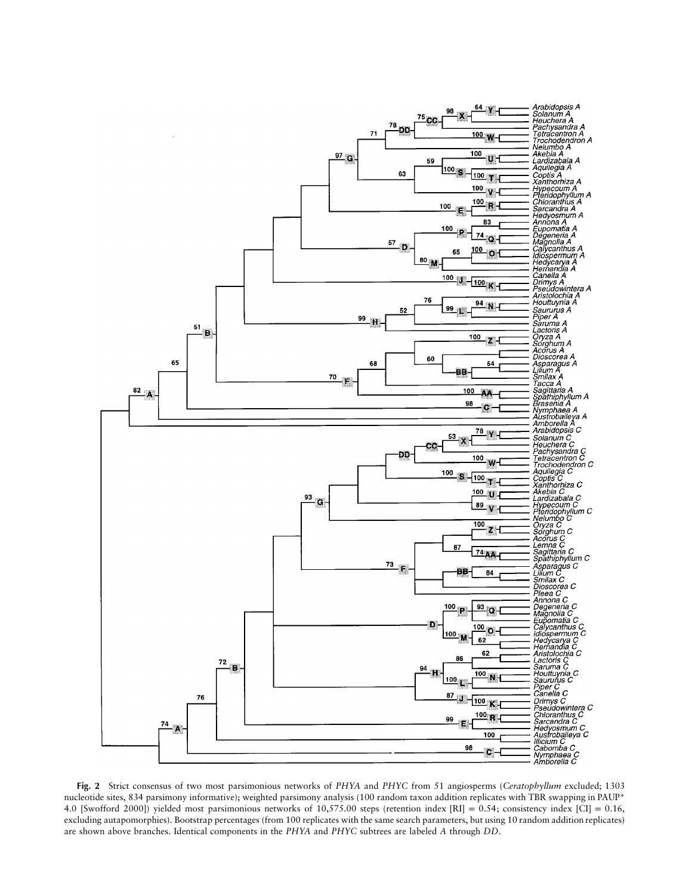

**Fig. 2** Strict consensus of two most parsimonious networks of *PHYA* and *PHYC* from 51 angiosperms (*Ceratophyllum* excluded; 1303 nucleotide sites, 834 parsimony informative); weighted parsimony analysis (100 random taxon addition replicates with TBR swapping in PAUP\* 4.0 [Swofford 2000]) yielded most parsimonious networks of 10,575.00 steps (retention index [RI] = 0.54; consistency index [CI] = 0.16, excluding autapomorphies). Bootstrap percentages (from 100 replicates with the same search parameters, but using 10 random addition replicates) are shown above branches. Identical components in the *PHYA* and *PHYC* subtrees are labeled *A* through *DD*.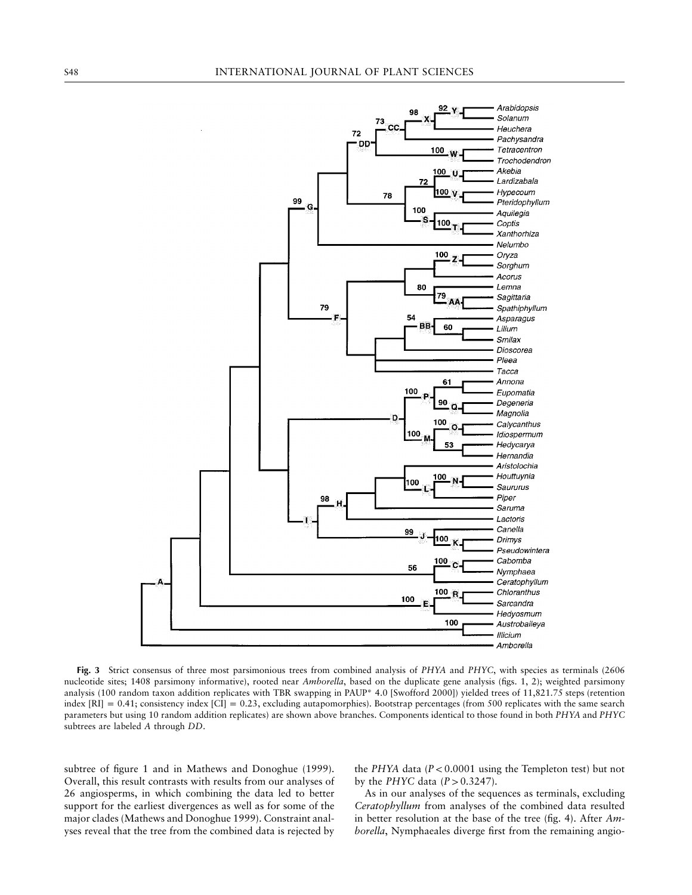

**Fig. 3** Strict consensus of three most parsimonious trees from combined analysis of *PHYA* and *PHYC*, with species as terminals (2606 nucleotide sites; 1408 parsimony informative), rooted near *Amborella*, based on the duplicate gene analysis (figs. 1, 2); weighted parsimony analysis (100 random taxon addition replicates with TBR swapping in PAUP\* 4.0 [Swofford 2000]) yielded trees of 11,821.75 steps (retention index  $[RI] = 0.41$ ; consistency index  $[CI] = 0.23$ , excluding autapomorphies). Bootstrap percentages (from 500 replicates with the same search parameters but using 10 random addition replicates) are shown above branches. Components identical to those found in both *PHYA* and *PHYC* subtrees are labeled *A* through *DD*.

subtree of figure 1 and in Mathews and Donoghue (1999). Overall, this result contrasts with results from our analyses of 26 angiosperms, in which combining the data led to better support for the earliest divergences as well as for some of the major clades (Mathews and Donoghue 1999). Constraint analyses reveal that the tree from the combined data is rejected by

the *PHYA* data  $(P < 0.0001$  using the Templeton test) but not by the *PHYC* data (*P* > 0.3247).

As in our analyses of the sequences as terminals, excluding *Ceratophyllum* from analyses of the combined data resulted in better resolution at the base of the tree (fig. 4). After *Amborella*, Nymphaeales diverge first from the remaining angio-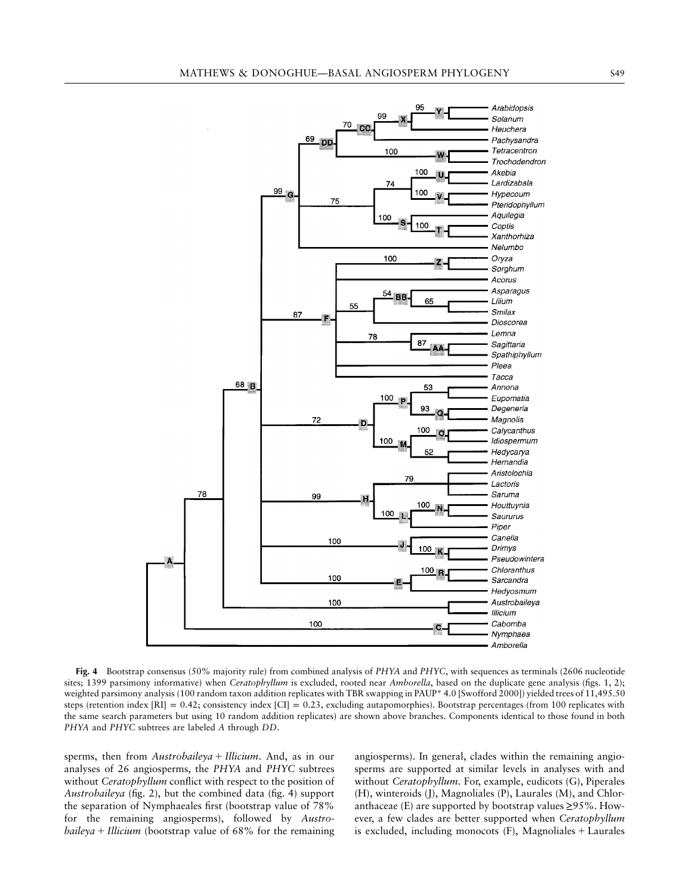

**Fig. 4** Bootstrap consensus (50% majority rule) from combined analysis of *PHYA* and *PHYC*, with sequences as terminals (2606 nucleotide sites; 1399 parsimony informative) when *Ceratophyllum* is excluded, rooted near *Amborella*, based on the duplicate gene analysis (figs. 1, 2); weighted parsimony analysis (100 random taxon addition replicates with TBR swapping in PAUP\* 4.0 [Swofford 2000]) yielded trees of 11,495.50 steps (retention index  $[RI] = 0.42$ ; consistency index  $[CI] = 0.23$ , excluding autapomorphies). Bootstrap percentages (from 100 replicates with the same search parameters but using 10 random addition replicates) are shown above branches. Components identical to those found in both *PHYA* and *PHYC* subtrees are labeled *A* through *DD*.

sperms, then from Austrobaileya + Illicium. And, as in our analyses of 26 angiosperms, the *PHYA* and *PHYC* subtrees without *Ceratophyllum* conflict with respect to the position of *Austrobaileya* (fig. 2), but the combined data (fig. 4) support the separation of Nymphaeales first (bootstrap value of 78% for the remaining angiosperms), followed by *Austro* $baileya + Illicium$  (bootstrap value of 68% for the remaining

angiosperms). In general, clades within the remaining angiosperms are supported at similar levels in analyses with and without *Ceratophyllum*. For, example, eudicots (G), Piperales (H), winteroids (J), Magnoliales (P), Laurales (M), and Chloranthaceae (E) are supported by bootstrap values  $\geq$ 95%. However, a few clades are better supported when *Ceratophyllum* is excluded, including monocots  $(F)$ , Magnoliales + Laurales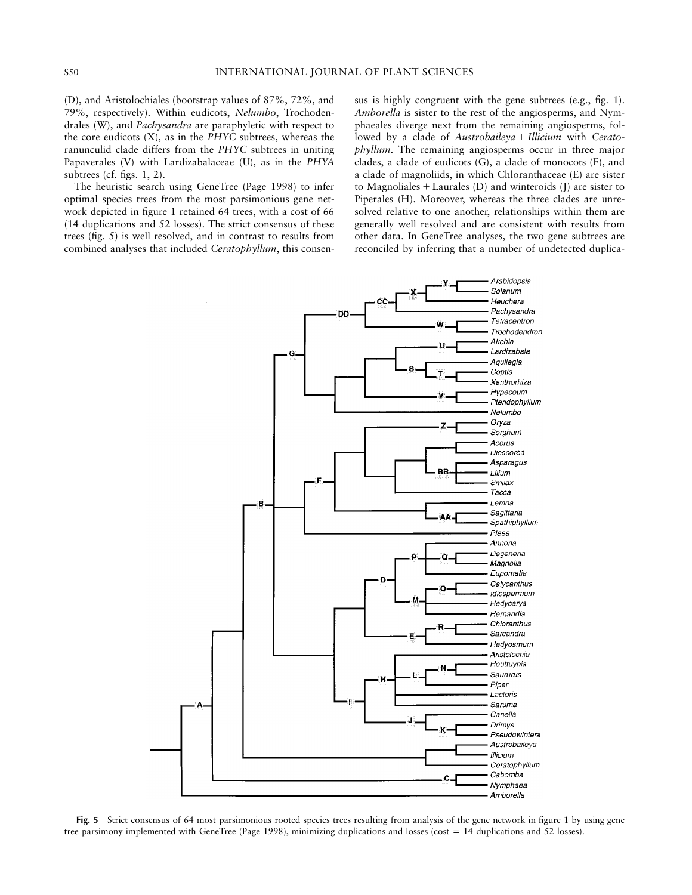(D), and Aristolochiales (bootstrap values of 87%, 72%, and 79%, respectively). Within eudicots, *Nelumbo*, Trochodendrales (W), and *Pachysandra* are paraphyletic with respect to the core eudicots (X), as in the *PHYC* subtrees, whereas the ranunculid clade differs from the *PHYC* subtrees in uniting Papaverales (V) with Lardizabalaceae (U), as in the *PHYA* subtrees (cf. figs. 1, 2).

The heuristic search using GeneTree (Page 1998) to infer optimal species trees from the most parsimonious gene network depicted in figure 1 retained 64 trees, with a cost of 66 (14 duplications and 52 losses). The strict consensus of these trees (fig. 5) is well resolved, and in contrast to results from combined analyses that included *Ceratophyllum*, this consensus is highly congruent with the gene subtrees (e.g., fig. 1). *Amborella* is sister to the rest of the angiosperms, and Nymphaeales diverge next from the remaining angiosperms, followed by a clade of *Austrobaileya* + *Illicium* with *Ceratophyllum*. The remaining angiosperms occur in three major clades, a clade of eudicots (G), a clade of monocots (F), and a clade of magnoliids, in which Chloranthaceae (E) are sister to Magnoliales + Laurales (D) and winteroids (J) are sister to Piperales (H). Moreover, whereas the three clades are unresolved relative to one another, relationships within them are generally well resolved and are consistent with results from other data. In GeneTree analyses, the two gene subtrees are reconciled by inferring that a number of undetected duplica-



Fig. 5 Strict consensus of 64 most parsimonious rooted species trees resulting from analysis of the gene network in figure 1 by using gene tree parsimony implemented with GeneTree (Page 1998), minimizing duplications and losses (cost  $= 14$  duplications and 52 losses).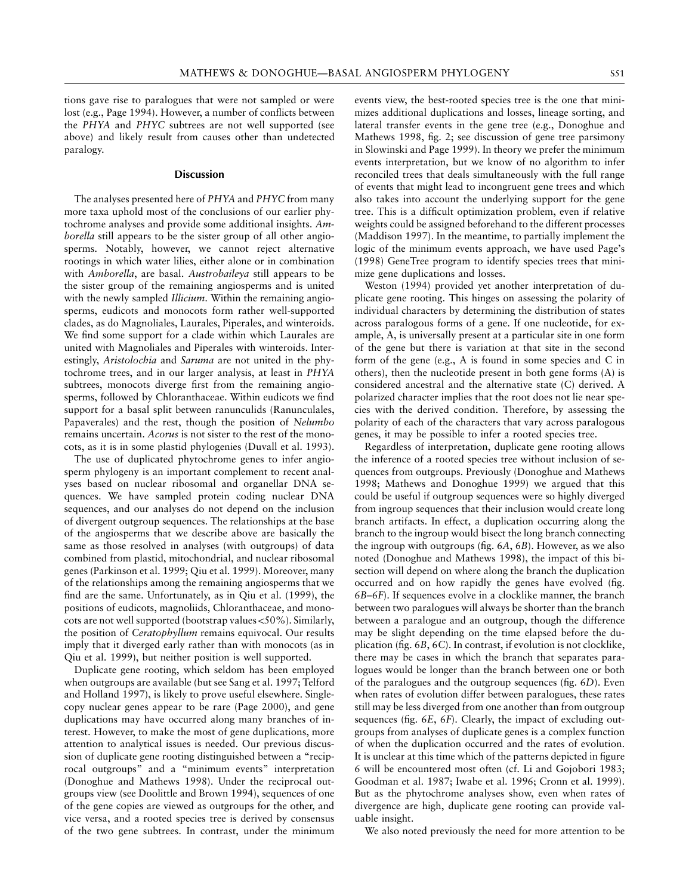tions gave rise to paralogues that were not sampled or were lost (e.g., Page 1994). However, a number of conflicts between the *PHYA* and *PHYC* subtrees are not well supported (see above) and likely result from causes other than undetected paralogy.

## **Discussion**

The analyses presented here of *PHYA* and *PHYC* from many more taxa uphold most of the conclusions of our earlier phytochrome analyses and provide some additional insights. *Amborella* still appears to be the sister group of all other angiosperms. Notably, however, we cannot reject alternative rootings in which water lilies, either alone or in combination with *Amborella*, are basal. *Austrobaileya* still appears to be the sister group of the remaining angiosperms and is united with the newly sampled *Illicium*. Within the remaining angiosperms, eudicots and monocots form rather well-supported clades, as do Magnoliales, Laurales, Piperales, and winteroids. We find some support for a clade within which Laurales are united with Magnoliales and Piperales with winteroids. Interestingly, *Aristolochia* and *Saruma* are not united in the phytochrome trees, and in our larger analysis, at least in *PHYA* subtrees, monocots diverge first from the remaining angiosperms, followed by Chloranthaceae. Within eudicots we find support for a basal split between ranunculids (Ranunculales, Papaverales) and the rest, though the position of *Nelumbo* remains uncertain. *Acorus* is not sister to the rest of the monocots, as it is in some plastid phylogenies (Duvall et al. 1993).

The use of duplicated phytochrome genes to infer angiosperm phylogeny is an important complement to recent analyses based on nuclear ribosomal and organellar DNA sequences. We have sampled protein coding nuclear DNA sequences, and our analyses do not depend on the inclusion of divergent outgroup sequences. The relationships at the base of the angiosperms that we describe above are basically the same as those resolved in analyses (with outgroups) of data combined from plastid, mitochondrial, and nuclear ribosomal genes (Parkinson et al. 1999; Qiu et al. 1999). Moreover, many of the relationships among the remaining angiosperms that we find are the same. Unfortunately, as in Qiu et al. (1999), the positions of eudicots, magnoliids, Chloranthaceae, and monocots are not well supported (bootstrap values  $\langle 50\% \rangle$ ). Similarly, the position of *Ceratophyllum* remains equivocal. Our results imply that it diverged early rather than with monocots (as in Qiu et al. 1999), but neither position is well supported.

Duplicate gene rooting, which seldom has been employed when outgroups are available (but see Sang et al. 1997; Telford and Holland 1997), is likely to prove useful elsewhere. Singlecopy nuclear genes appear to be rare (Page 2000), and gene duplications may have occurred along many branches of interest. However, to make the most of gene duplications, more attention to analytical issues is needed. Our previous discussion of duplicate gene rooting distinguished between a "reciprocal outgroups" and a "minimum events" interpretation (Donoghue and Mathews 1998). Under the reciprocal outgroups view (see Doolittle and Brown 1994), sequences of one of the gene copies are viewed as outgroups for the other, and vice versa, and a rooted species tree is derived by consensus of the two gene subtrees. In contrast, under the minimum events view, the best-rooted species tree is the one that minimizes additional duplications and losses, lineage sorting, and lateral transfer events in the gene tree (e.g., Donoghue and Mathews 1998, fig. 2; see discussion of gene tree parsimony in Slowinski and Page 1999). In theory we prefer the minimum events interpretation, but we know of no algorithm to infer reconciled trees that deals simultaneously with the full range of events that might lead to incongruent gene trees and which also takes into account the underlying support for the gene tree. This is a difficult optimization problem, even if relative weights could be assigned beforehand to the different processes (Maddison 1997). In the meantime, to partially implement the logic of the minimum events approach, we have used Page's (1998) GeneTree program to identify species trees that minimize gene duplications and losses.

Weston (1994) provided yet another interpretation of duplicate gene rooting. This hinges on assessing the polarity of individual characters by determining the distribution of states across paralogous forms of a gene. If one nucleotide, for example, A, is universally present at a particular site in one form of the gene but there is variation at that site in the second form of the gene (e.g., A is found in some species and C in others), then the nucleotide present in both gene forms (A) is considered ancestral and the alternative state (C) derived. A polarized character implies that the root does not lie near species with the derived condition. Therefore, by assessing the polarity of each of the characters that vary across paralogous genes, it may be possible to infer a rooted species tree.

Regardless of interpretation, duplicate gene rooting allows the inference of a rooted species tree without inclusion of sequences from outgroups. Previously (Donoghue and Mathews 1998; Mathews and Donoghue 1999) we argued that this could be useful if outgroup sequences were so highly diverged from ingroup sequences that their inclusion would create long branch artifacts. In effect, a duplication occurring along the branch to the ingroup would bisect the long branch connecting the ingroup with outgroups (fig. 6*A*, 6*B*). However, as we also noted (Donoghue and Mathews 1998), the impact of this bisection will depend on where along the branch the duplication occurred and on how rapidly the genes have evolved (fig. 6*B*–6*F*). If sequences evolve in a clocklike manner, the branch between two paralogues will always be shorter than the branch between a paralogue and an outgroup, though the difference may be slight depending on the time elapsed before the duplication (fig. 6*B*, 6*C*). In contrast, if evolution is not clocklike, there may be cases in which the branch that separates paralogues would be longer than the branch between one or both of the paralogues and the outgroup sequences (fig. 6*D*). Even when rates of evolution differ between paralogues, these rates still may be less diverged from one another than from outgroup sequences (fig. 6*E*, 6*F*). Clearly, the impact of excluding outgroups from analyses of duplicate genes is a complex function of when the duplication occurred and the rates of evolution. It is unclear at this time which of the patterns depicted in figure 6 will be encountered most often (cf. Li and Gojobori 1983; Goodman et al. 1987; Iwabe et al. 1996; Cronn et al. 1999). But as the phytochrome analyses show, even when rates of divergence are high, duplicate gene rooting can provide valuable insight.

We also noted previously the need for more attention to be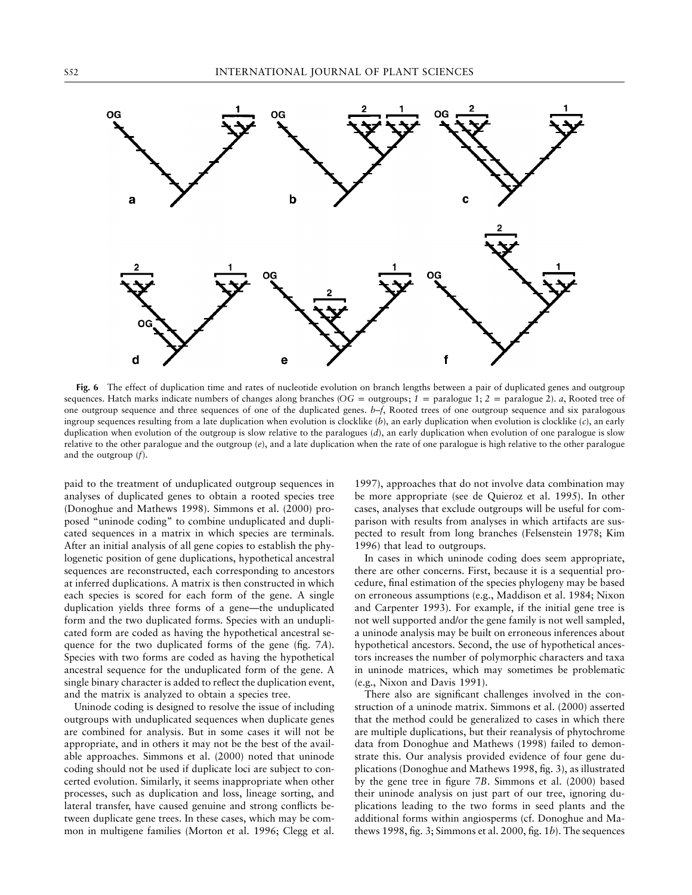

**Fig. 6** The effect of duplication time and rates of nucleotide evolution on branch lengths between a pair of duplicated genes and outgroup sequences. Hatch marks indicate numbers of changes along branches ( $OG =$  outgroups;  $1 =$  paralogue 1;  $2 =$  paralogue 2). *a*, Rooted tree of one outgroup sequence and three sequences of one of the duplicated genes. *b*–*f*, Rooted trees of one outgroup sequence and six paralogous ingroup sequences resulting from a late duplication when evolution is clocklike (*b*), an early duplication when evolution is clocklike (*c*), an early duplication when evolution of the outgroup is slow relative to the paralogues (*d*), an early duplication when evolution of one paralogue is slow relative to the other paralogue and the outgroup (*e*), and a late duplication when the rate of one paralogue is high relative to the other paralogue and the outgroup (*f*).

paid to the treatment of unduplicated outgroup sequences in analyses of duplicated genes to obtain a rooted species tree (Donoghue and Mathews 1998). Simmons et al. (2000) proposed "uninode coding" to combine unduplicated and duplicated sequences in a matrix in which species are terminals. After an initial analysis of all gene copies to establish the phylogenetic position of gene duplications, hypothetical ancestral sequences are reconstructed, each corresponding to ancestors at inferred duplications. A matrix is then constructed in which each species is scored for each form of the gene. A single duplication yields three forms of a gene—the unduplicated form and the two duplicated forms. Species with an unduplicated form are coded as having the hypothetical ancestral sequence for the two duplicated forms of the gene (fig. 7*A*). Species with two forms are coded as having the hypothetical ancestral sequence for the unduplicated form of the gene. A single binary character is added to reflect the duplication event, and the matrix is analyzed to obtain a species tree.

Uninode coding is designed to resolve the issue of including outgroups with unduplicated sequences when duplicate genes are combined for analysis. But in some cases it will not be appropriate, and in others it may not be the best of the available approaches. Simmons et al. (2000) noted that uninode coding should not be used if duplicate loci are subject to concerted evolution. Similarly, it seems inappropriate when other processes, such as duplication and loss, lineage sorting, and lateral transfer, have caused genuine and strong conflicts between duplicate gene trees. In these cases, which may be common in multigene families (Morton et al. 1996; Clegg et al.

1997), approaches that do not involve data combination may be more appropriate (see de Quieroz et al. 1995). In other cases, analyses that exclude outgroups will be useful for comparison with results from analyses in which artifacts are suspected to result from long branches (Felsenstein 1978; Kim 1996) that lead to outgroups.

In cases in which uninode coding does seem appropriate, there are other concerns. First, because it is a sequential procedure, final estimation of the species phylogeny may be based on erroneous assumptions (e.g., Maddison et al. 1984; Nixon and Carpenter 1993). For example, if the initial gene tree is not well supported and/or the gene family is not well sampled, a uninode analysis may be built on erroneous inferences about hypothetical ancestors. Second, the use of hypothetical ancestors increases the number of polymorphic characters and taxa in uninode matrices, which may sometimes be problematic (e.g., Nixon and Davis 1991).

There also are significant challenges involved in the construction of a uninode matrix. Simmons et al. (2000) asserted that the method could be generalized to cases in which there are multiple duplications, but their reanalysis of phytochrome data from Donoghue and Mathews (1998) failed to demonstrate this. Our analysis provided evidence of four gene duplications (Donoghue and Mathews 1998, fig. 3), as illustrated by the gene tree in figure 7*B*. Simmons et al. (2000) based their uninode analysis on just part of our tree, ignoring duplications leading to the two forms in seed plants and the additional forms within angiosperms (cf. Donoghue and Mathews 1998, fig. 3; Simmons et al. 2000, fig. 1*b*). The sequences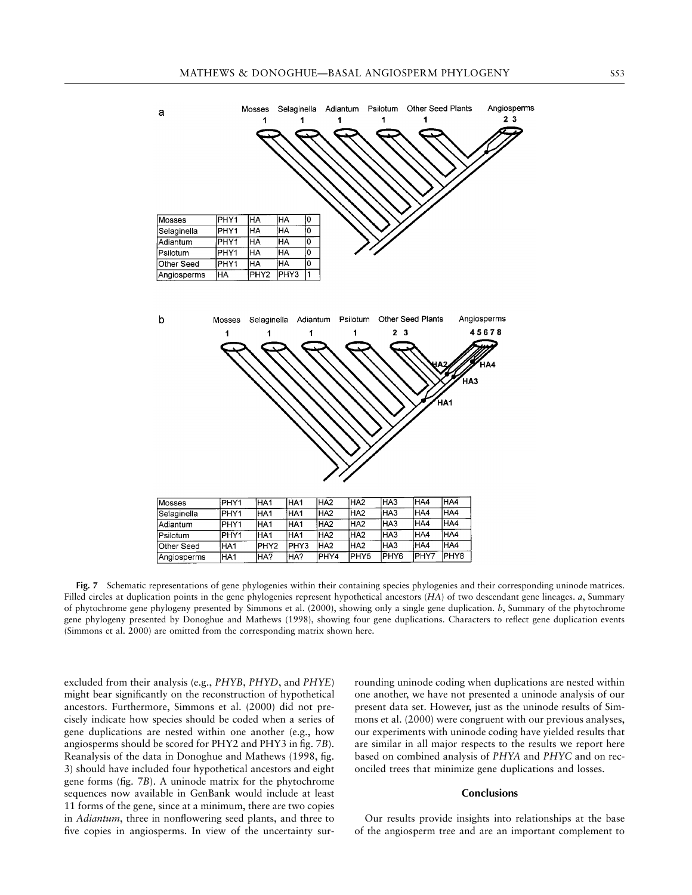

**Fig. 7** Schematic representations of gene phylogenies within their containing species phylogenies and their corresponding uninode matrices. Filled circles at duplication points in the gene phylogenies represent hypothetical ancestors (*HA*) of two descendant gene lineages. *a*, Summary of phytochrome gene phylogeny presented by Simmons et al. (2000), showing only a single gene duplication. *b*, Summary of the phytochrome gene phylogeny presented by Donoghue and Mathews (1998), showing four gene duplications. Characters to reflect gene duplication events (Simmons et al. 2000) are omitted from the corresponding matrix shown here.

excluded from their analysis (e.g., *PHYB*, *PHYD*, and *PHYE*) might bear significantly on the reconstruction of hypothetical ancestors. Furthermore, Simmons et al. (2000) did not precisely indicate how species should be coded when a series of gene duplications are nested within one another (e.g., how angiosperms should be scored for PHY2 and PHY3 in fig. 7*B*). Reanalysis of the data in Donoghue and Mathews (1998, fig. 3) should have included four hypothetical ancestors and eight gene forms (fig. 7*B*). A uninode matrix for the phytochrome sequences now available in GenBank would include at least 11 forms of the gene, since at a minimum, there are two copies in *Adiantum*, three in nonflowering seed plants, and three to five copies in angiosperms. In view of the uncertainty surrounding uninode coding when duplications are nested within one another, we have not presented a uninode analysis of our present data set. However, just as the uninode results of Simmons et al. (2000) were congruent with our previous analyses, our experiments with uninode coding have yielded results that are similar in all major respects to the results we report here based on combined analysis of *PHYA* and *PHYC* and on reconciled trees that minimize gene duplications and losses.

## **Conclusions**

Our results provide insights into relationships at the base of the angiosperm tree and are an important complement to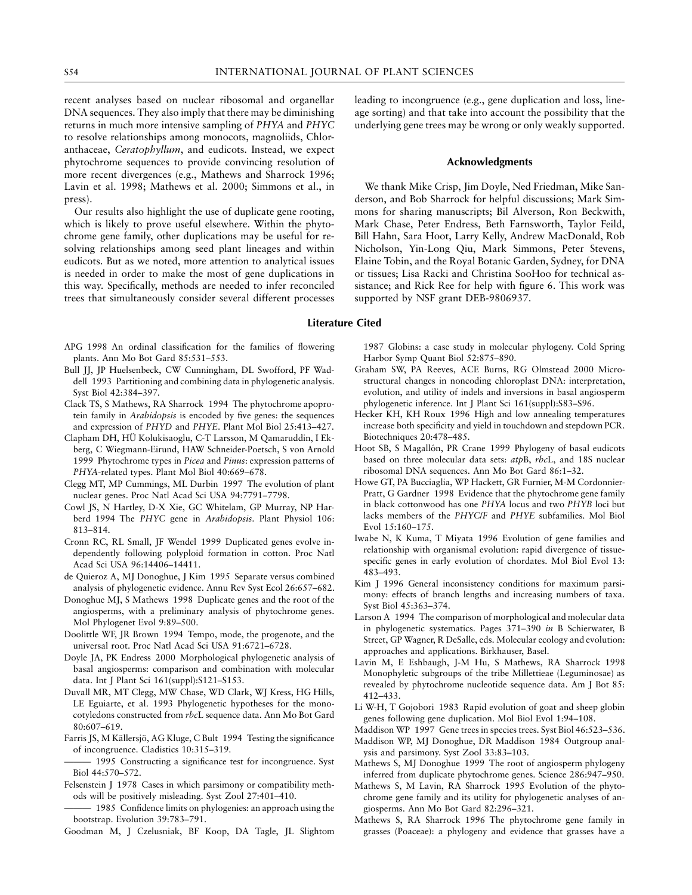recent analyses based on nuclear ribosomal and organellar DNA sequences. They also imply that there may be diminishing returns in much more intensive sampling of *PHYA* and *PHYC* to resolve relationships among monocots, magnoliids, Chloranthaceae, *Ceratophyllum*, and eudicots. Instead, we expect phytochrome sequences to provide convincing resolution of more recent divergences (e.g., Mathews and Sharrock 1996; Lavin et al. 1998; Mathews et al. 2000; Simmons et al., in press).

Our results also highlight the use of duplicate gene rooting, which is likely to prove useful elsewhere. Within the phytochrome gene family, other duplications may be useful for resolving relationships among seed plant lineages and within eudicots. But as we noted, more attention to analytical issues is needed in order to make the most of gene duplications in this way. Specifically, methods are needed to infer reconciled trees that simultaneously consider several different processes

APG 1998 An ordinal classification for the families of flowering plants. Ann Mo Bot Gard 85:531–553.

- Bull JJ, JP Huelsenbeck, CW Cunningham, DL Swofford, PF Waddell 1993 Partitioning and combining data in phylogenetic analysis. Syst Biol 42:384–397.
- Clack TS, S Mathews, RA Sharrock 1994 The phytochrome apoprotein family in *Arabidopsis* is encoded by five genes: the sequences and expression of *PHYD* and *PHYE*. Plant Mol Biol 25:413–427.
- Clapham DH, HU¨ Kolukisaoglu, C-T Larsson, M Qamaruddin, I Ekberg, C Wiegmann-Eirund, HAW Schneider-Poetsch, S von Arnold 1999 Phytochrome types in *Picea* and *Pinus*: expression patterns of *PHYA*-related types. Plant Mol Biol 40:669–678.
- Clegg MT, MP Cummings, ML Durbin 1997 The evolution of plant nuclear genes. Proc Natl Acad Sci USA 94:7791–7798.
- Cowl JS, N Hartley, D-X Xie, GC Whitelam, GP Murray, NP Harberd 1994 The *PHYC* gene in *Arabidopsis*. Plant Physiol 106: 813–814.
- Cronn RC, RL Small, JF Wendel 1999 Duplicated genes evolve independently following polyploid formation in cotton. Proc Natl Acad Sci USA 96:14406–14411.
- de Quieroz A, MJ Donoghue, J Kim 1995 Separate versus combined analysis of phylogenetic evidence. Annu Rev Syst Ecol 26:657–682.
- Donoghue MJ, S Mathews 1998 Duplicate genes and the root of the angiosperms, with a preliminary analysis of phytochrome genes. Mol Phylogenet Evol 9:89–500.
- Doolittle WF, JR Brown 1994 Tempo, mode, the progenote, and the universal root. Proc Natl Acad Sci USA 91:6721–6728.
- Doyle JA, PK Endress 2000 Morphological phylogenetic analysis of basal angiosperms: comparison and combination with molecular data. Int J Plant Sci 161(suppl):S121–S153.
- Duvall MR, MT Clegg, MW Chase, WD Clark, WJ Kress, HG Hills, LE Eguiarte, et al. 1993 Phylogenetic hypotheses for the monocotyledons constructed from *rbc*L sequence data. Ann Mo Bot Gard 80:607–619.
- Farris JS, M Källersjö, AG Kluge, C Bult 1994 Testing the significance of incongruence. Cladistics 10:315–319.
- ——— 1995 Constructing a significance test for incongruence. Syst Biol 44:570–572.
- Felsenstein J 1978 Cases in which parsimony or compatibility methods will be positively misleading. Syst Zool 27:401–410.
- 1985 Confidence limits on phylogenies: an approach using the bootstrap. Evolution 39:783–791.
- Goodman M, J Czelusniak, BF Koop, DA Tagle, JL Slightom

leading to incongruence (e.g., gene duplication and loss, lineage sorting) and that take into account the possibility that the underlying gene trees may be wrong or only weakly supported.

## **Acknowledgments**

We thank Mike Crisp, Jim Doyle, Ned Friedman, Mike Sanderson, and Bob Sharrock for helpful discussions; Mark Simmons for sharing manuscripts; Bil Alverson, Ron Beckwith, Mark Chase, Peter Endress, Beth Farnsworth, Taylor Feild, Bill Hahn, Sara Hoot, Larry Kelly, Andrew MacDonald, Rob Nicholson, Yin-Long Qiu, Mark Simmons, Peter Stevens, Elaine Tobin, and the Royal Botanic Garden, Sydney, for DNA or tissues; Lisa Racki and Christina SooHoo for technical assistance; and Rick Ree for help with figure 6. This work was supported by NSF grant DEB-9806937.

## **Literature Cited**

1987 Globins: a case study in molecular phylogeny. Cold Spring Harbor Symp Quant Biol 52:875–890.

- Graham SW, PA Reeves, ACE Burns, RG Olmstead 2000 Microstructural changes in noncoding chloroplast DNA: interpretation, evolution, and utility of indels and inversions in basal angiosperm phylogenetic inference. Int J Plant Sci 161(suppl):S83–S96.
- Hecker KH, KH Roux 1996 High and low annealing temperatures increase both specificity and yield in touchdown and stepdown PCR. Biotechniques 20:478–485.
- Hoot SB, S Magallón, PR Crane 1999 Phylogeny of basal eudicots based on three molecular data sets: *atp*B, *rbc*L, and 18S nuclear ribosomal DNA sequences. Ann Mo Bot Gard 86:1–32.
- Howe GT, PA Bucciaglia, WP Hackett, GR Furnier, M-M Cordonnier-Pratt, G Gardner 1998 Evidence that the phytochrome gene family in black cottonwood has one *PHYA* locus and two *PHYB* loci but lacks members of the *PHYC*/*F* and *PHYE* subfamilies. Mol Biol Evol 15:160–175.
- Iwabe N, K Kuma, T Miyata 1996 Evolution of gene families and relationship with organismal evolution: rapid divergence of tissuespecific genes in early evolution of chordates. Mol Biol Evol 13: 483–493.
- Kim J 1996 General inconsistency conditions for maximum parsimony: effects of branch lengths and increasing numbers of taxa. Syst Biol 45:363–374.
- Larson A 1994 The comparison of morphological and molecular data in phylogenetic systematics. Pages 371–390 *in* B Schierwater, B Street, GP Wagner, R DeSalle, eds. Molecular ecology and evolution: approaches and applications. Birkhauser, Basel.
- Lavin M, E Eshbaugh, J-M Hu, S Mathews, RA Sharrock 1998 Monophyletic subgroups of the tribe Millettieae (Leguminosae) as revealed by phytochrome nucleotide sequence data. Am J Bot 85: 412–433.
- Li W-H, T Gojobori 1983 Rapid evolution of goat and sheep globin genes following gene duplication. Mol Biol Evol 1:94–108.
- Maddison WP 1997 Gene trees in species trees. Syst Biol 46:523–536. Maddison WP, MJ Donoghue, DR Maddison 1984 Outgroup anal-
- ysis and parsimony. Syst Zool 33:83–103. Mathews S, MJ Donoghue 1999 The root of angiosperm phylogeny
- inferred from duplicate phytochrome genes. Science 286:947–950. Mathews S, M Lavin, RA Sharrock 1995 Evolution of the phyto-
- chrome gene family and its utility for phylogenetic analyses of angiosperms. Ann Mo Bot Gard 82:296–321.
- Mathews S, RA Sharrock 1996 The phytochrome gene family in grasses (Poaceae): a phylogeny and evidence that grasses have a